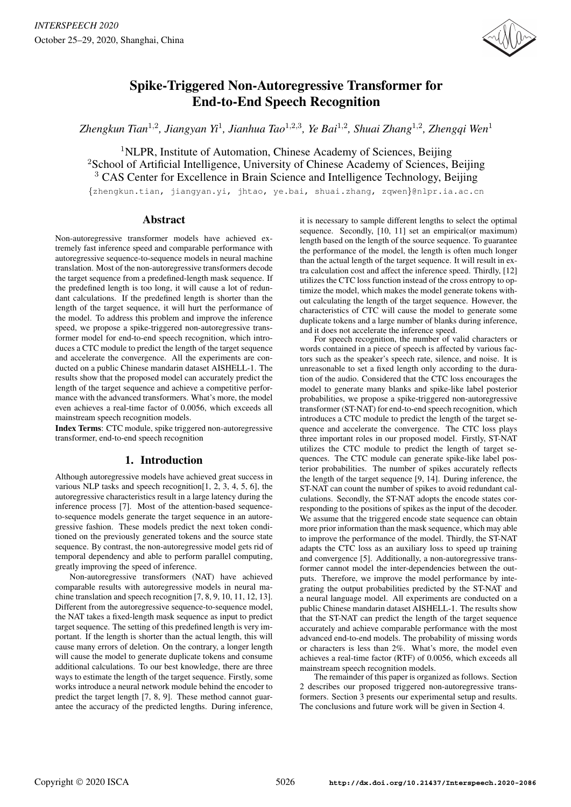

# Spike-Triggered Non-Autoregressive Transformer for End-to-End Speech Recognition

Zhengkun Tian<sup>1,2</sup>, Jiangyan Yi<sup>1</sup>, Jianhua Tao<sup>1,2,3</sup>, Ye Bai<sup>1,2</sup>, Shuai Zhang<sup>1,2</sup>, Zhengqi Wen<sup>1</sup>

<sup>1</sup>NLPR, Institute of Automation, Chinese Academy of Sciences, Beijing <sup>2</sup>School of Artificial Intelligence, University of Chinese Academy of Sciences, Beijing <sup>3</sup> CAS Center for Excellence in Brain Science and Intelligence Technology, Beijing

{zhengkun.tian, jiangyan.yi, jhtao, ye.bai, shuai.zhang, zqwen}@nlpr.ia.ac.cn

## Abstract

Non-autoregressive transformer models have achieved extremely fast inference speed and comparable performance with autoregressive sequence-to-sequence models in neural machine translation. Most of the non-autoregressive transformers decode the target sequence from a predefined-length mask sequence. If the predefined length is too long, it will cause a lot of redundant calculations. If the predefined length is shorter than the length of the target sequence, it will hurt the performance of the model. To address this problem and improve the inference speed, we propose a spike-triggered non-autoregressive transformer model for end-to-end speech recognition, which introduces a CTC module to predict the length of the target sequence and accelerate the convergence. All the experiments are conducted on a public Chinese mandarin dataset AISHELL-1. The results show that the proposed model can accurately predict the length of the target sequence and achieve a competitive performance with the advanced transformers. What's more, the model even achieves a real-time factor of 0.0056, which exceeds all mainstream speech recognition models.

Index Terms: CTC module, spike triggered non-autoregressive transformer, end-to-end speech recognition

# 1. Introduction

Although autoregressive models have achieved great success in various NLP tasks and speech recognition[1, 2, 3, 4, 5, 6], the autoregressive characteristics result in a large latency during the inference process [7]. Most of the attention-based sequenceto-sequence models generate the target sequence in an autoregressive fashion. These models predict the next token conditioned on the previously generated tokens and the source state sequence. By contrast, the non-autoregressive model gets rid of temporal dependency and able to perform parallel computing, greatly improving the speed of inference.

Non-autoregressive transformers (NAT) have achieved comparable results with autoregressive models in neural machine translation and speech recognition [7, 8, 9, 10, 11, 12, 13]. Different from the autoregressive sequence-to-sequence model, the NAT takes a fixed-length mask sequence as input to predict target sequence. The setting of this predefined length is very important. If the length is shorter than the actual length, this will cause many errors of deletion. On the contrary, a longer length will cause the model to generate duplicate tokens and consume additional calculations. To our best knowledge, there are three ways to estimate the length of the target sequence. Firstly, some works introduce a neural network module behind the encoder to predict the target length [7, 8, 9]. These method cannot guarantee the accuracy of the predicted lengths. During inference, it is necessary to sample different lengths to select the optimal sequence. Secondly, [10, 11] set an empirical(or maximum) length based on the length of the source sequence. To guarantee the performance of the model, the length is often much longer than the actual length of the target sequence. It will result in extra calculation cost and affect the inference speed. Thirdly, [12] utilizes the CTC loss function instead of the cross entropy to optimize the model, which makes the model generate tokens without calculating the length of the target sequence. However, the characteristics of CTC will cause the model to generate some duplicate tokens and a large number of blanks during inference, and it does not accelerate the inference speed.

For speech recognition, the number of valid characters or words contained in a piece of speech is affected by various factors such as the speaker's speech rate, silence, and noise. It is unreasonable to set a fixed length only according to the duration of the audio. Considered that the CTC loss encourages the model to generate many blanks and spike-like label posterior probabilities, we propose a spike-triggered non-autoregressive transformer (ST-NAT) for end-to-end speech recognition, which introduces a CTC module to predict the length of the target sequence and accelerate the convergence. The CTC loss plays three important roles in our proposed model. Firstly, ST-NAT utilizes the CTC module to predict the length of target sequences. The CTC module can generate spike-like label posterior probabilities. The number of spikes accurately reflects the length of the target sequence [9, 14]. During inference, the ST-NAT can count the number of spikes to avoid redundant calculations. Secondly, the ST-NAT adopts the encode states corresponding to the positions of spikes as the input of the decoder. We assume that the triggered encode state sequence can obtain more prior information than the mask sequence, which may able to improve the performance of the model. Thirdly, the ST-NAT adapts the CTC loss as an auxiliary loss to speed up training and convergence [5]. Additionally, a non-autoregressive transformer cannot model the inter-dependencies between the outputs. Therefore, we improve the model performance by integrating the output probabilities predicted by the ST-NAT and a neural language model. All experiments are conducted on a public Chinese mandarin dataset AISHELL-1. The results show that the ST-NAT can predict the length of the target sequence accurately and achieve comparable performance with the most advanced end-to-end models. The probability of missing words or characters is less than 2%. What's more, the model even achieves a real-time factor (RTF) of 0.0056, which exceeds all mainstream speech recognition models.

The remainder of this paper is organized as follows. Section 2 describes our proposed triggered non-autoregressive transformers. Section 3 presents our experimental setup and results. The conclusions and future work will be given in Section 4.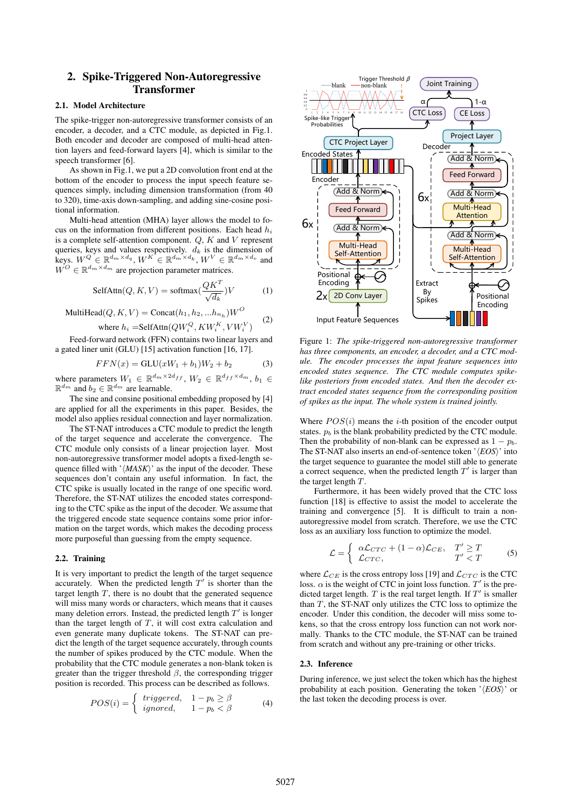# 2. Spike-Triggered Non-Autoregressive Transformer

#### 2.1. Model Architecture

The spike-trigger non-autoregressive transformer consists of an encoder, a decoder, and a CTC module, as depicted in Fig.1. Both encoder and decoder are composed of multi-head attention layers and feed-forward layers [4], which is similar to the speech transformer [6].

As shown in Fig.1, we put a 2D convolution front end at the bottom of the encoder to process the input speech feature sequences simply, including dimension transformation (from 40 to 320), time-axis down-sampling, and adding sine-cosine positional information.

Multi-head attention (MHA) layer allows the model to focus on the information from different positions. Each head  $h_i$ is a complete self-attention component.  $Q$ ,  $K$  and  $V$  represent queries, keys and values respectively.  $d_k$  is the dimension of keys.  $W^Q \in \mathbb{R}^{d_m \times d_q}$ ,  $W^K \in \mathbb{R}^{d_m \times d_k}$ ,  $W^V \in \mathbb{R}^{d_m \times d_v}$  and  $W^O \in \mathbb{R}^{d_m \times d_m}$  are projection parameter matrices.

$$
\text{SelfAttn}(Q, K, V) = \text{softmax}(\frac{QK^T}{\sqrt{d_k}})V \tag{1}
$$

$$
\text{MultiHead}(Q, K, V) = \text{Concat}(h_1, h_2, ... h_{n_h})W^O
$$
\n
$$
\text{where } h_i = \text{SelfAttn}(QW_i^Q, KW_i^K, VW_i^V) \tag{2}
$$

where 
$$
h_i
$$
 =SelfAttn( $QW_i^Q, KW_i^K, VW_i^V$ )  
Feed-forward network (FFN) contains two linear layers and

a gated liner unit (GLU) [15] activation function [16, 17].

$$
FFN(x) = GLU(xW_1 + b_1)W_2 + b_2
$$
 (3)

where parameters  $W_1 \in \mathbb{R}^{d_m \times 2d_{ff}}$ ,  $W_2 \in \mathbb{R}^{d_{ff} \times d_m}$ ,  $b_1 \in$  $\mathbb{R}^{d_m}$  and  $b_2 \in \mathbb{R}^{d_m}$  are learnable.

The sine and consine positional embedding proposed by [4] are applied for all the experiments in this paper. Besides, the model also applies residual connection and layer normalization.

The ST-NAT introduces a CTC module to predict the length of the target sequence and accelerate the convergence. The CTC module only consists of a linear projection layer. Most non-autoregressive transformer model adopts a fixed-length sequence filled with  $\langle \text{MAXK} \rangle$ <sup>t</sup> as the input of the decoder. These sequences don't contain any useful information. In fact, the CTC spike is usually located in the range of one specific word. Therefore, the ST-NAT utilizes the encoded states corresponding to the CTC spike as the input of the decoder. We assume that the triggered encode state sequence contains some prior information on the target words, which makes the decoding process more purposeful than guessing from the empty sequence.

#### 2.2. Training

It is very important to predict the length of the target sequence accurately. When the predicted length  $T'$  is shorter than the target length  $T$ , there is no doubt that the generated sequence will miss many words or characters, which means that it causes many deletion errors. Instead, the predicted length  $T'$  is longer than the target length of  $T$ , it will cost extra calculation and even generate many duplicate tokens. The ST-NAT can predict the length of the target sequence accurately, through counts the number of spikes produced by the CTC module. When the probability that the CTC module generates a non-blank token is greater than the trigger threshold  $\beta$ , the corresponding trigger position is recorded. This process can be described as follows. From the set of the set of the set of the set of the CF-1 and the set of the CF-1 and the CF-1 and the CF-1 and the CF-1 and the convertion of  $W_t^{\rm F}$ ,  $W_t^{\rm F}$ ,  $W_t^{\rm F}$ ,  $W_t^{\rm F}$ ,  $W_t^{\rm F}$ ,  $W_t^{\rm F}$ ,  $W_t^{\rm F}$ ,

$$
POS(i) = \begin{cases} triggered, & 1-p_b \ge \beta \\ ignored, & 1-p_b < \beta \end{cases}
$$
 (4)



Figure 1: *The spike-triggered non-autoregressive transformer has three components, an encoder, a decoder, and a CTC module. The encoder processes the input feature sequences into encoded states sequence. The CTC module computes spikelike posteriors from encoded states. And then the decoder extract encoded states sequence from the corresponding position of spikes as the input. The whole system is trained jointly.*

Where  $POS(i)$  means the *i*-th position of the encoder output states.  $p_b$  is the blank probability predicted by the CTC module. Then the probability of non-blank can be expressed as  $1 - p_b$ . The ST-NAT also inserts an end-of-sentence token ' $\langle EOS \rangle$ ' into the target sequence to guarantee the model still able to generate a correct sequence, when the predicted length  $T'$  is larger than the target length T.

Furthermore, it has been widely proved that the CTC loss function [18] is effective to assist the model to accelerate the training and convergence [5]. It is difficult to train a nonautoregressive model from scratch. Therefore, we use the CTC loss as an auxiliary loss function to optimize the model.

$$
\mathcal{L} = \begin{cases} \alpha \mathcal{L}_{CTC} + (1 - \alpha) \mathcal{L}_{CE}, & T' \ge T \\ \mathcal{L}_{CTC}, & T' < T \end{cases}
$$
 (5)

where  $\mathcal{L}_{CE}$  is the cross entropy loss [19] and  $\mathcal{L}_{CTC}$  is the CTC loss.  $\alpha$  is the weight of CTC in joint loss function.  $T'$  is the predicted target length.  $T$  is the real target length. If  $T'$  is smaller than  $T$ , the ST-NAT only utilizes the CTC loss to optimize the encoder. Under this condition, the decoder will miss some tokens, so that the cross entropy loss function can not work normally. Thanks to the CTC module, the ST-NAT can be trained from scratch and without any pre-training or other tricks.

#### 2.3. Inference

During inference, we just select the token which has the highest probability at each position. Generating the token ' $\langle EOS \rangle$ ' or the last token the decoding process is over.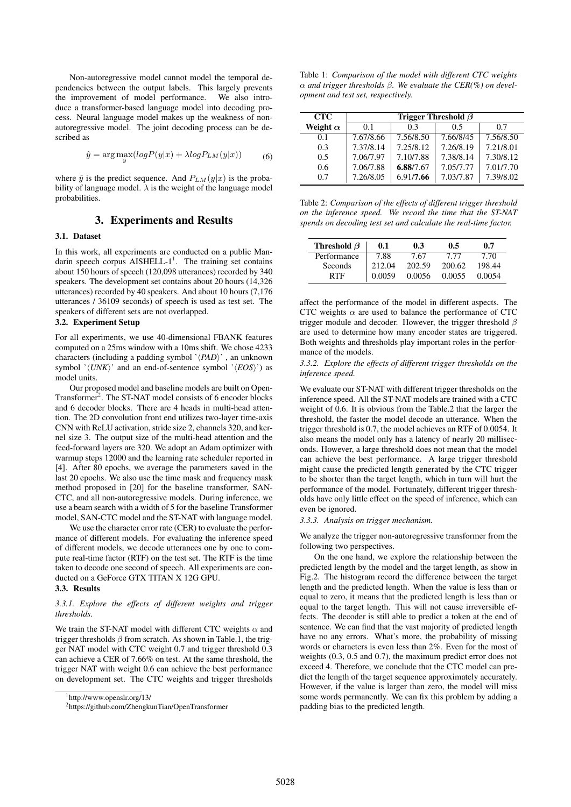Non-autoregressive model cannot model the temporal dependencies between the output labels. This largely prevents the improvement of model performance. We also introduce a transformer-based language model into decoding process. Neural language model makes up the weakness of nonautoregressive model. The joint decoding process can be described as

$$
\hat{y} = \arg\max_{y} (logP(y|x) + \lambda logP_{LM}(y|x))
$$
\n(6)

where  $\hat{y}$  is the predict sequence. And  $P_{LM}(y|x)$  is the probability of language model.  $\lambda$  is the weight of the language model probabilities.

## 3. Experiments and Results

#### 3.1. Dataset

In this work, all experiments are conducted on a public Mandarin speech corpus AISHELL- $1^1$ . The training set contains about 150 hours of speech (120,098 utterances) recorded by 340 speakers. The development set contains about 20 hours (14,326 utterances) recorded by 40 speakers. And about 10 hours (7,176 utterances / 36109 seconds) of speech is used as test set. The speakers of different sets are not overlapped.

## 3.2. Experiment Setup

For all experiments, we use 40-dimensional FBANK features computed on a 25ms window with a 10ms shift. We chose 4233 characters (including a padding symbol ' $\langle PAD \rangle$ ' , an unknown symbol ' $\langle UNK \rangle$ ' and an end-of-sentence symbol ' $\langle EOS \rangle$ ') as model units.

Our proposed model and baseline models are built on Open-Transformer<sup>2</sup>. The ST-NAT model consists of 6 encoder blocks and 6 decoder blocks. There are 4 heads in multi-head attention. The 2D convolution front end utilizes two-layer time-axis CNN with ReLU activation, stride size 2, channels 320, and kernel size 3. The output size of the multi-head attention and the feed-forward layers are 320. We adopt an Adam optimizer with warmup steps 12000 and the learning rate scheduler reported in [4]. After 80 epochs, we average the parameters saved in the last 20 epochs. We also use the time mask and frequency mask method proposed in [20] for the baseline transformer, SAN-CTC, and all non-autoregressive models. During inference, we use a beam search with a width of 5 for the baseline Transformer model, SAN-CTC model and the ST-NAT with language model.

We use the character error rate (CER) to evaluate the performance of different models. For evaluating the inference speed of different models, we decode utterances one by one to compute real-time factor (RTF) on the test set. The RTF is the time taken to decode one second of speech. All experiments are conducted on a GeForce GTX TITAN X 12G GPU.

### 3.3. Results

#### *3.3.1. Explore the effects of different weights and trigger thresholds.*

We train the ST-NAT model with different CTC weights  $\alpha$  and trigger thresholds  $\beta$  from scratch. As shown in Table.1, the trigger NAT model with CTC weight 0.7 and trigger threshold 0.3 can achieve a CER of 7.66% on test. At the same threshold, the trigger NAT with weight 0.6 can achieve the best performance on development set. The CTC weights and trigger thresholds

Table 1: *Comparison of the model with different CTC weights* α *and trigger thresholds* β*. We evaluate the CER(%) on development and test set, respectively.*

| <b>CTC</b>      | Trigger Threshold $\beta$ |           |           |           |  |  |
|-----------------|---------------------------|-----------|-----------|-----------|--|--|
| Weight $\alpha$ | 0.1                       | 03        | 0.5       | 0.7       |  |  |
| 0.1             | 7.67/8.66                 | 7.56/8.50 | 7.66/8/45 | 7.56/8.50 |  |  |
| 0.3             | 7.37/8.14                 | 7.25/8.12 | 7.26/8.19 | 7.21/8.01 |  |  |
| 0.5             | 7.06/7.97                 | 7.10/7.88 | 7.38/8.14 | 7.30/8.12 |  |  |
| 0.6             | 7.06/7.88                 | 6.88/7.67 | 7.05/7.77 | 7.01/7.70 |  |  |
| 0.7             | 7.26/8.05                 | 6.91/7.66 | 7.03/7.87 | 7.39/8.02 |  |  |

Table 2: *Comparison of the effects of different trigger threshold on the inference speed. We record the time that the ST-NAT spends on decoding test set and calculate the real-time factor.*

| Threshold $\beta$ | 0.1    | 0.3    | 0.5    | 0.7    |
|-------------------|--------|--------|--------|--------|
| Performance       | 7.88   | 7.67   | 7 77   | 7.70   |
| Seconds           | 212.04 | 202.59 | 200.62 | 198.44 |
| RTF               | 0.0059 | 0.0056 | 0.0055 | 0.0054 |

affect the performance of the model in different aspects. The CTC weights  $\alpha$  are used to balance the performance of CTC trigger module and decoder. However, the trigger threshold  $\beta$ are used to determine how many encoder states are triggered. Both weights and thresholds play important roles in the performance of the models.

*3.3.2. Explore the effects of different trigger thresholds on the inference speed.*

We evaluate our ST-NAT with different trigger thresholds on the inference speed. All the ST-NAT models are trained with a CTC weight of 0.6. It is obvious from the Table.2 that the larger the threshold, the faster the model decode an utterance. When the trigger threshold is 0.7, the model achieves an RTF of 0.0054. It also means the model only has a latency of nearly 20 milliseconds. However, a large threshold does not mean that the model can achieve the best performance. A large trigger threshold might cause the predicted length generated by the CTC trigger to be shorter than the target length, which in turn will hurt the performance of the model. Fortunately, different trigger thresholds have only little effect on the speed of inference, which can even be ignored.

*3.3.3. Analysis on trigger mechanism.*

We analyze the trigger non-autoregressive transformer from the following two perspectives.

On the one hand, we explore the relationship between the predicted length by the model and the target length, as show in Fig.2. The histogram record the difference between the target length and the predicted length. When the value is less than or equal to zero, it means that the predicted length is less than or equal to the target length. This will not cause irreversible effects. The decoder is still able to predict a token at the end of sentence. We can find that the vast majority of predicted length have no any errors. What's more, the probability of missing words or characters is even less than 2%. Even for the most of weights (0.3, 0.5 and 0.7), the maximum predict error does not exceed 4. Therefore, we conclude that the CTC model can predict the length of the target sequence approximately accurately. However, if the value is larger than zero, the model will miss some words permanently. We can fix this problem by adding a padding bias to the predicted length.

 $1$ http://www.openslr.org/13/

<sup>2</sup>https://github.com/ZhengkunTian/OpenTransformer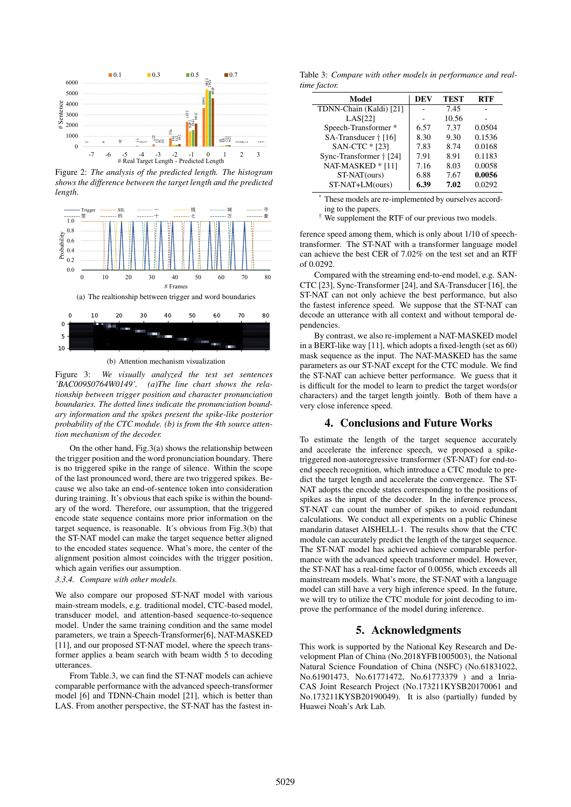

Figure 2: *The analysis of the predicted length. The histogram shows the difference between the target length and the predicted length.*



(b) Attention mechanism visualization

Figure 3: *We visually analyzed the test set sentences 'BAC009S0764W0149'. (a)The line chart shows the relationship between trigger position and character pronunciation boundaries. The dotted lines indicate the pronunciation boundary information and the spikes present the spike-like posterior probability of the CTC module. (b) is from the 4th source attention mechanism of the decoder.*

On the other hand, Fig.3(a) shows the relationship between the trigger position and the word pronunciation boundary. There is no triggered spike in the range of silence. Within the scope of the last pronounced word, there are two triggered spikes. Because we also take an end-of-sentence token into consideration during training. It's obvious that each spike is within the boundary of the word. Therefore, our assumption, that the triggered encode state sequence contains more prior information on the target sequence, is reasonable. It's obvious from Fig.3(b) that the ST-NAT model can make the target sequence better aligned to the encoded states sequence. What's more, the center of the alignment position almost coincides with the trigger position, which again verifies our assumption.

*3.3.4. Compare with other models.*

We also compare our proposed ST-NAT model with various main-stream models, e.g. traditional model, CTC-based model, transducer model, and attention-based sequence-to-sequence model. Under the same training condition and the same model parameters, we train a Speech-Transformer[6], NAT-MASKED [11], and our proposed ST-NAT model, where the speech transformer applies a beam search with beam width 5 to decoding utterances.

From Table.3, we can find the ST-NAT models can achieve comparable performance with the advanced speech-transformer model [6] and TDNN-Chain model [21], which is better than LAS. From another perspective, the ST-NAT has the fastest in-

Table 3: *Compare with other models in performance and realtime factor.*

| Model                   | DEV  | TEST  | <b>RTF</b> |
|-------------------------|------|-------|------------|
| TDNN-Chain (Kaldi) [21] |      | 7.45  |            |
| LAS[22]                 |      | 10.56 |            |
| Speech-Transformer*     | 6.57 | 7.37  | 0.0504     |
| SA-Transducer † [16]    | 8.30 | 9.30  | 0.1536     |
| SAN-CTC * [23]          | 7.83 | 8.74  | 0.0168     |
| Sync-Transformer + [24] | 7.91 | 8.91  | 0.1183     |
| NAT-MASKED * [11]       | 7.16 | 8.03  | 0.0058     |
| ST-NAT(ours)            | 6.88 | 7.67  | 0.0056     |
| ST-NAT+LM(ours)         | 6.39 | 7.02  | 0.0292     |

These models are re-implemented by ourselves according to the papers.

† We supplement the RTF of our previous two models.

ference speed among them, which is only about 1/10 of speechtransformer. The ST-NAT with a transformer language model can achieve the best CER of 7.02% on the test set and an RTF of 0.0292.

Compared with the streaming end-to-end model, e.g. SAN-CTC [23], Sync-Transformer [24], and SA-Transducer [16], the ST-NAT can not only achieve the best performance, but also the fastest inference speed. We suppose that the ST-NAT can decode an utterance with all context and without temporal dependencies.

By contrast, we also re-implement a NAT-MASKED model in a BERT-like way [11], which adopts a fixed-length (set as 60) mask sequence as the input. The NAT-MASKED has the same parameters as our ST-NAT except for the CTC module. We find the ST-NAT can achieve better performance. We guess that it is difficult for the model to learn to predict the target words(or characters) and the target length jointly. Both of them have a very close inference speed.

#### 4. Conclusions and Future Works

To estimate the length of the target sequence accurately and accelerate the inference speech, we proposed a spiketriggered non-autoregressive transformer (ST-NAT) for end-toend speech recognition, which introduce a CTC module to predict the target length and accelerate the convergence. The ST-NAT adopts the encode states corresponding to the positions of spikes as the input of the decoder. In the inference process, ST-NAT can count the number of spikes to avoid redundant calculations. We conduct all experiments on a public Chinese mandarin dataset AISHELL-1. The results show that the CTC module can accurately predict the length of the target sequence. The ST-NAT model has achieved achieve comparable performance with the advanced speech transformer model. However, the ST-NAT has a real-time factor of 0.0056, which exceeds all mainstream models. What's more, the ST-NAT with a language model can still have a very high inference speed. In the future, we will try to utilize the CTC module for joint decoding to improve the performance of the model during inference.

### 5. Acknowledgments

This work is supported by the National Key Research and Development Plan of China (No.2018YFB1005003), the National Natural Science Foundation of China (NSFC) (No.61831022, No.61901473, No.61771472, No.61773379 ) and a Inria-CAS Joint Research Project (No.173211KYSB20170061 and No.173211KYSB20190049). It is also (partially) funded by Huawei Noah's Ark Lab.